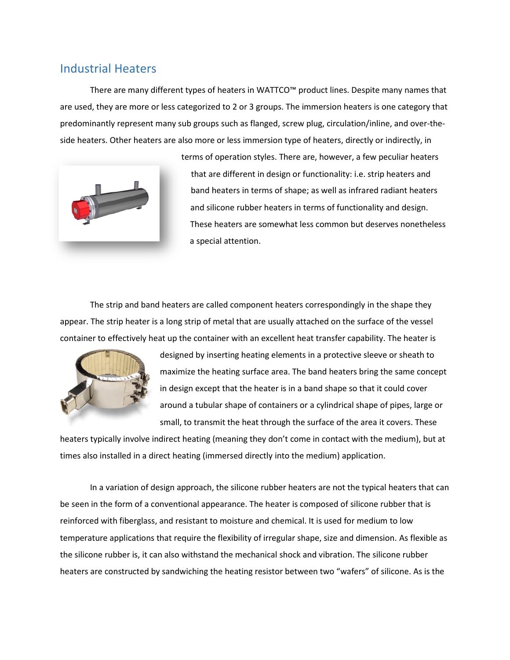## Industrial Heaters

There are many different types of heaters in WATTCO™ product lines. Despite many names that are used, they are more or less categorized to 2 or 3 groups. The immersion heaters is one category that predominantly represent many sub groups such as flanged, screw plug, circulation/inline, and over-theside heaters. Other heaters are also more or less immersion type of heaters, directly or indirectly, in



terms of operation styles. There are, however, a few peculiar heaters that are different in design or functionality: i.e. strip heaters and band heaters in terms of shape; as well as infrared radiant heaters and silicone rubber heaters in terms of functionality and design. These heaters are somewhat less common but deserves nonetheless a special attention.

The strip and band heaters are called component heaters correspondingly in the shape they appear. The strip heater is a long strip of metal that are usually attached on the surface of the vessel container to effectively heat up the container with an excellent heat transfer capability. The heater is



designed by inserting heating elements in a protective sleeve or sheath to maximize the heating surface area. The band heaters bring the same concept in design except that the heater is in a band shape so that it could cover around a tubular shape of containers or a cylindrical shape of pipes, large or small, to transmit the heat through the surface of the area it covers. These

heaters typically involve indirect heating (meaning they don't come in contact with the medium), but at times also installed in a direct heating (immersed directly into the medium) application.

In a variation of design approach, the silicone rubber heaters are not the typical heaters that can be seen in the form of a conventional appearance. The heater is composed of silicone rubber that is reinforced with fiberglass, and resistant to moisture and chemical. It is used for medium to low temperature applications that require the flexibility of irregular shape, size and dimension. As flexible as the silicone rubber is, it can also withstand the mechanical shock and vibration. The silicone rubber heaters are constructed by sandwiching the heating resistor between two "wafers" of silicone. As is the